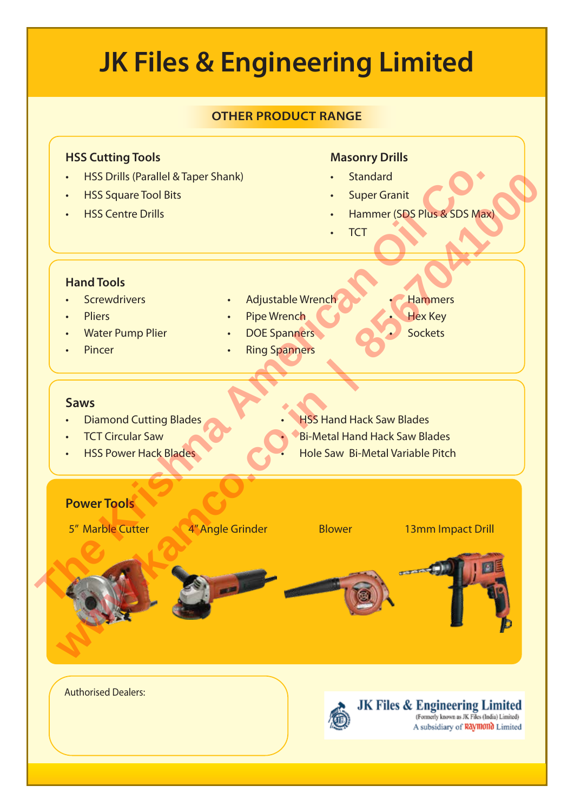# **JK Files & Engineering Limited OTHER PRODUCT RANGE HSS Cutting Tools Masonry Drills** Power Tools<br>
Power Tools<br>
Power Tools<br>
Power Tools<br>
Power Tools<br>
Power Tools<br>
Power Tools<br>
Power Tools<br>
Power Tools<br>
Power Tools<br>
Power Tools<br>
Power Tools<br>
Power Tools<br>
Power Tools<br>
Power Tools<br>
Power Tools<br>
Power Tools<br>
P • HSS Drills (Parallel & Taper Shank) • Standard We Water Burnell & Taper Shank)<br>
We Concerned Bits<br>
Water Pump Piler<br>
Water Pump Piler<br>
Water Pump Piler<br>
Water Pump Piler<br>
Water Pump Piler<br>
Water Pump Piler<br>
Water Pump Piler<br>
Water Pump Piler<br>
Water Pump Piler<br>
Water Pu • HSS Square Tool Bits **Super Granit HSS Centre Drills** • Hammer (SDS Plus & SDS Max) • TCT **Hand Tools Screwdrivers** • Adjustable Wrench • Hammers • Pliers Pipe Wrench • Hex Key • Water Pump Plier • DOE Spanners **Sockets Pincer Ring Spanners Saws**  • Diamond Cutting Blades **HSS Hand Hack Saw Blades TCT Circular Saw** • Bi-Metal Hand Hack Saw Blades **HSS Power Hack Blades** • Hole Saw Bi-Metal Variable Pitch 5" Marble Cutter 4" Angle Grinder Blower 13mm Impact Drill Authorised Dealers: **JK Files & Engineering Limited**<br>(Formerly known as JK Files (India) Limited) A subsidiary of Raymond Limited